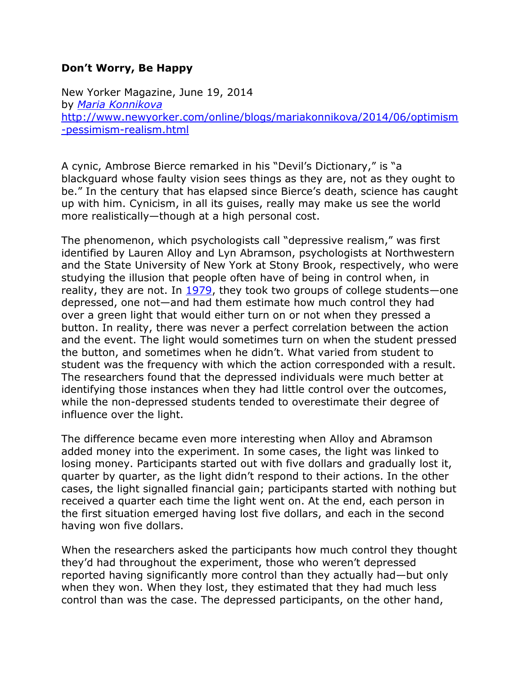## **Don't Worry, Be Happy**

New Yorker Magazine, June 19, 2014 by *[Maria Konnikova](http://www.newyorker.com/magazine/bios/maria_konnikova/search?contributorName=Maria%20Konnikova)* [http://www.newyorker.com/online/blogs/mariakonnikova/2014/06/optimism](http://www.newyorker.com/online/blogs/mariakonnikova/2014/06/optimism-pessimism-realism.html) [-pessimism-realism.html](http://www.newyorker.com/online/blogs/mariakonnikova/2014/06/optimism-pessimism-realism.html)

A cynic, Ambrose Bierce remarked in his "Devil's Dictionary," is "a blackguard whose faulty vision sees things as they are, not as they ought to be." In the century that has elapsed since Bierce's death, science has caught up with him. Cynicism, in all its guises, really may make us see the world more realistically—though at a high personal cost.

The phenomenon, which psychologists call "depressive realism," was first identified by Lauren Alloy and Lyn Abramson, psychologists at Northwestern and the State University of New York at Stony Brook, respectively, who were studying the illusion that people often have of being in control when, in reality, they are not. In [1979,](http://www.ncbi.nlm.nih.gov/pubmed/528910) they took two groups of college students—one depressed, one not—and had them estimate how much control they had over a green light that would either turn on or not when they pressed a button. In reality, there was never a perfect correlation between the action and the event. The light would sometimes turn on when the student pressed the button, and sometimes when he didn't. What varied from student to student was the frequency with which the action corresponded with a result. The researchers found that the depressed individuals were much better at identifying those instances when they had little control over the outcomes, while the non-depressed students tended to overestimate their degree of influence over the light.

The difference became even more interesting when Alloy and Abramson added money into the experiment. In some cases, the light was linked to losing money. Participants started out with five dollars and gradually lost it, quarter by quarter, as the light didn't respond to their actions. In the other cases, the light signalled financial gain; participants started with nothing but received a quarter each time the light went on. At the end, each person in the first situation emerged having lost five dollars, and each in the second having won five dollars.

When the researchers asked the participants how much control they thought they'd had throughout the experiment, those who weren't depressed reported having significantly more control than they actually had—but only when they won. When they lost, they estimated that they had much less control than was the case. The depressed participants, on the other hand,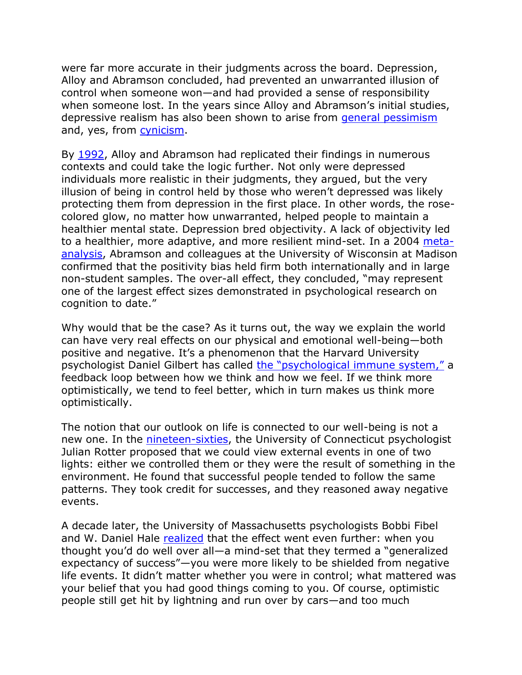were far more accurate in their judgments across the board. Depression, Alloy and Abramson concluded, had prevented an unwarranted illusion of control when someone won—and had provided a sense of responsibility when someone lost. In the years since Alloy and Abramson's initial studies, depressive realism has also been shown to arise from [general pessimism](http://www.cell.com/trends/cognitive-sciences/abstract/S1364-6613%2814%2900033-3) and, yes, from [cynicism.](http://www.neurology.org/content/early/2014/05/28/WNL.0000000000000528)

By [1992,](http://www.ncbi.nlm.nih.gov/pubmed/1583214) Alloy and Abramson had replicated their findings in numerous contexts and could take the logic further. Not only were depressed individuals more realistic in their judgments, they argued, but the very illusion of being in control held by those who weren't depressed was likely protecting them from depression in the first place. In other words, the rosecolored glow, no matter how unwarranted, helped people to maintain a healthier mental state. Depression bred objectivity. A lack of objectivity led to a healthier, more adaptive, and more resilient mind-set. In a 2004 [meta](http://www.ncbi.nlm.nih.gov/pubmed/15367078)[analysis,](http://www.ncbi.nlm.nih.gov/pubmed/15367078) Abramson and colleagues at the University of Wisconsin at Madison confirmed that the positivity bias held firm both internationally and in large non-student samples. The over-all effect, they concluded, "may represent one of the largest effect sizes demonstrated in psychological research on cognition to date."

Why would that be the case? As it turns out, the way we explain the world can have very real effects on our physical and emotional well-being—both positive and negative. It's a phenomenon that the Harvard University psychologist Daniel Gilbert has called the ["psychological immune system,"](http://www.wjh.harvard.edu/~dtg/Gilbert%20et%20al%20%28IMMUNE%20NEGLECT%29.pdf) a feedback loop between how we think and how we feel. If we think more optimistically, we tend to feel better, which in turn makes us think more optimistically.

The notion that our outlook on life is connected to our well-being is not a new one. In the **nineteen-sixties**, the University of Connecticut psychologist Julian Rotter proposed that we could view external events in one of two lights: either we controlled them or they were the result of something in the environment. He found that successful people tended to follow the same patterns. They took credit for successes, and they reasoned away negative events.

A decade later, the University of Massachusetts psychologists Bobbi Fibel and W. Daniel Hale [realized](http://psycnet.apa.org/index.cfm?fa=buy.optionToBuy&id=1979-25080-001) that the effect went even further: when you thought you'd do well over all—a mind-set that they termed a "generalized expectancy of success"—you were more likely to be shielded from negative life events. It didn't matter whether you were in control; what mattered was your belief that you had good things coming to you. Of course, optimistic people still get hit by lightning and run over by cars—and too much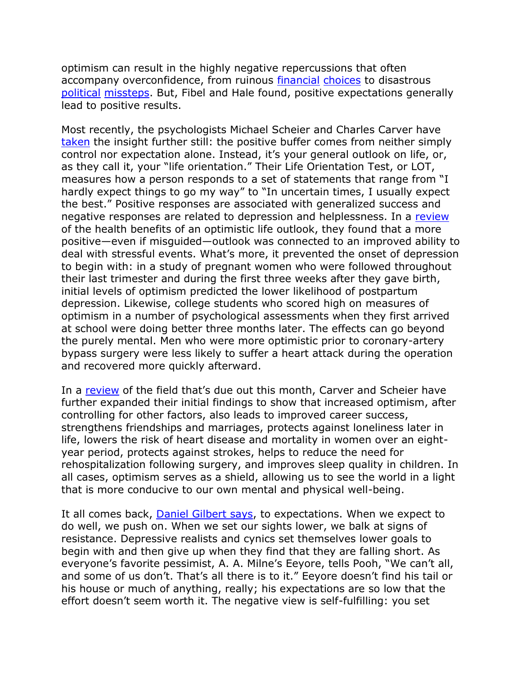optimism can result in the highly negative repercussions that often accompany overconfidence, from ruinous [financial](http://www.sciencedirect.com/science/article/pii/S0167487006001024) [choices](http://www.sciencedirect.com/science/article/pii/S0304405X08000251) to disastrous [political](journals.cambridge.org:action:displayAbstract%3FfromPage=online&aid=1963048&fileId=S0022381600005806) [missteps.](http://www.jstor.org/stable/3790955) But, Fibel and Hale found, positive expectations generally lead to positive results.

Most recently, the psychologists Michael Scheier and Charles Carver have [taken](http://www.ncbi.nlm.nih.gov/pubmed/4029106) the insight further still: the positive buffer comes from neither simply control nor expectation alone. Instead, it's your general outlook on life, or, as they call it, your "life orientation." Their Life Orientation Test, or LOT, measures how a person responds to a set of statements that range from "I hardly expect things to go my way" to "In uncertain times, I usually expect the best." Positive responses are associated with generalized success and negative responses are related to depression and helplessness. In a [review](/n%20the%20Power%20of%20Positive%20Thinking/%20The%20Benefits%20of%20Being%20Optimistic) of the health benefits of an optimistic life outlook, they found that a more positive—even if misguided—outlook was connected to an improved ability to deal with stressful events. What's more, it prevented the onset of depression to begin with: in a study of pregnant women who were followed throughout their last trimester and during the first three weeks after they gave birth, initial levels of optimism predicted the lower likelihood of postpartum depression. Likewise, college students who scored high on measures of optimism in a number of psychological assessments when they first arrived at school were doing better three months later. The effects can go beyond the purely mental. Men who were more optimistic prior to coronary-artery bypass surgery were less likely to suffer a heart attack during the operation and recovered more quickly afterward.

In a [review](http://www.cell.com/trends/cognitive-sciences/abstract/S1364-6613%2814%2900033-3) of the field that's due out this month, Carver and Scheier have further expanded their initial findings to show that increased optimism, after controlling for other factors, also leads to improved career success, strengthens friendships and marriages, protects against loneliness later in life, lowers the risk of heart disease and mortality in women over an eightyear period, protects against strokes, helps to reduce the need for rehospitalization following surgery, and improves sleep quality in children. In all cases, optimism serves as a shield, allowing us to see the world in a light that is more conducive to our own mental and physical well-being.

It all comes back, [Daniel Gilbert says,](http://psycnet.apa.org/journals/emo/9/2/277/) to expectations. When we expect to do well, we push on. When we set our sights lower, we balk at signs of resistance. Depressive realists and cynics set themselves lower goals to begin with and then give up when they find that they are falling short. As everyone's favorite pessimist, A. A. Milne's Eeyore, tells Pooh, "We can't all, and some of us don't. That's all there is to it." Eeyore doesn't find his tail or his house or much of anything, really; his expectations are so low that the effort doesn't seem worth it. The negative view is self-fulfilling: you set